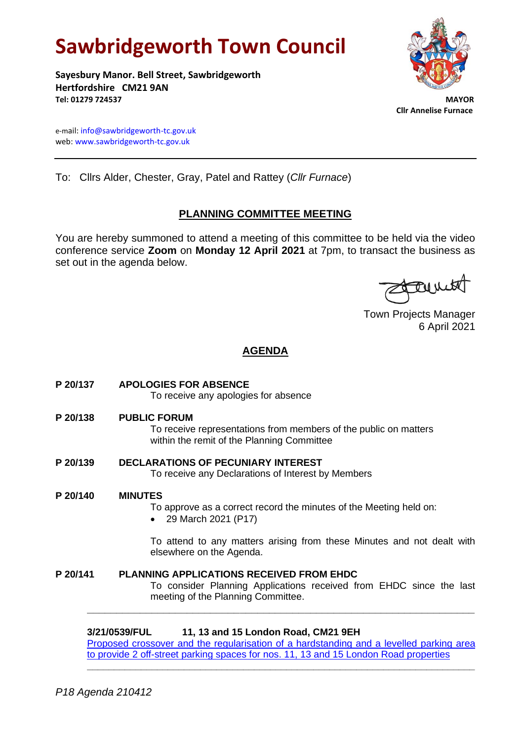# **Sawbridgeworth Town Council**

**Sayesbury Manor. Bell Street, Sawbridgeworth Hertfordshire CM21 9AN Tel: 01279 724537 MAYOR**

 **Cllr Annelise Furnace**

e-mail[: info@sawbridgeworth-tc.gov.uk](mailto:info@sawbridgeworth-tc.gov.uk) web: www.sawbridgeworth-tc.gov.uk

To: Cllrs Alder, Chester, Gray, Patel and Rattey (*Cllr Furnace*)

# **PLANNING COMMITTEE MEETING**

You are hereby summoned to attend a meeting of this committee to be held via the video conference service **Zoom** on **Monday 12 April 2021** at 7pm, to transact the business as set out in the agenda below.

farmed

Town Projects Manager 6 April 2021

# **AGENDA**

| P 20/137 | <b>APOLOGIES FOR ABSENCE</b><br>To receive any apologies for absence                                                                                         |
|----------|--------------------------------------------------------------------------------------------------------------------------------------------------------------|
| P 20/138 | <b>PUBLIC FORUM</b><br>To receive representations from members of the public on matters<br>within the remit of the Planning Committee                        |
| P 20/139 | <b>DECLARATIONS OF PECUNIARY INTEREST</b><br>To receive any Declarations of Interest by Members                                                              |
| P 20/140 | <b>MINUTES</b><br>To approve as a correct record the minutes of the Meeting held on:<br>29 March 2021 (P17)                                                  |
|          | To attend to any matters arising from these Minutes and not dealt with<br>elsewhere on the Agenda.                                                           |
| P 20/141 | <b>PLANNING APPLICATIONS RECEIVED FROM EHDC</b><br>To consider Planning Applications received from EHDC since the last<br>meeting of the Planning Committee. |
|          | 3/21/0539/FUL<br>11, 13 and 15 London Road, CM21 9EH                                                                                                         |

Proposed crossover and the regularisation of a hardstanding and a levelled parking area [to provide 2 off-street parking spaces for nos. 11, 13 and 15 London Road properties](https://publicaccess.eastherts.gov.uk/online-applications/applicationDetails.do?keyVal=QPEHU2GLL8K00&activeTab=summary)

**\_\_\_\_\_\_\_\_\_\_\_\_\_\_\_\_\_\_\_\_\_\_\_\_\_\_\_\_\_\_\_\_\_\_\_\_\_\_\_\_\_\_\_\_\_\_\_\_\_\_\_\_\_\_\_\_\_\_\_\_\_\_\_\_\_\_\_\_\_\_\_\_**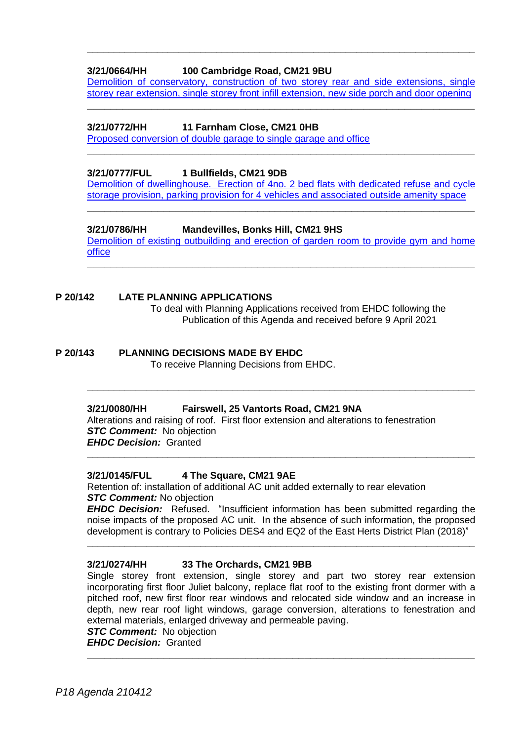# **3/21/0664/HH 100 Cambridge Road, CM21 9BU**

[Demolition of conservatory, construction of two storey rear and side extensions, single](https://publicaccess.eastherts.gov.uk/online-applications/applicationDetails.do?activeTab=documents&keyVal=QQ0H9CGL00X00)  [storey rear extension, single storey front infill extension, new side porch and door opening](https://publicaccess.eastherts.gov.uk/online-applications/applicationDetails.do?activeTab=documents&keyVal=QQ0H9CGL00X00) **\_\_\_\_\_\_\_\_\_\_\_\_\_\_\_\_\_\_\_\_\_\_\_\_\_\_\_\_\_\_\_\_\_\_\_\_\_\_\_\_\_\_\_\_\_\_\_\_\_\_\_\_\_\_\_\_\_\_\_\_\_\_\_\_\_\_**

**\_\_\_\_\_\_\_\_\_\_\_\_\_\_\_\_\_\_\_\_\_\_\_\_\_\_\_\_\_\_\_\_\_\_\_\_\_\_\_\_\_\_\_\_\_\_\_\_\_\_\_\_\_\_\_\_\_\_\_\_\_\_\_\_\_\_\_\_\_\_\_\_**

## **3/21/0772/HH 11 Farnham Close, CM21 0HB**

[Proposed conversion of double garage to single garage and office](https://publicaccess.eastherts.gov.uk/online-applications/applicationDetails.do?activeTab=documents&keyVal=QQEX7FGLLOR00)

## **3/21/0777/FUL 1 Bullfields, CM21 9DB**

[Demolition of dwellinghouse. Erection of 4no. 2 bed flats with dedicated refuse and cycle](https://publicaccess.eastherts.gov.uk/online-applications/applicationDetails.do?activeTab=documents&keyVal=QQF83IGLLP300)  [storage provision, parking provision for 4 vehicles and associated outside amenity space](https://publicaccess.eastherts.gov.uk/online-applications/applicationDetails.do?activeTab=documents&keyVal=QQF83IGLLP300)

**\_\_\_\_\_\_\_\_\_\_\_\_\_\_\_\_\_\_\_\_\_\_\_\_\_\_\_\_\_\_\_\_\_\_\_\_\_\_\_\_\_\_\_\_\_\_\_\_\_\_\_\_\_\_\_\_\_\_\_\_\_\_\_\_\_\_**

**\_\_\_\_\_\_\_\_\_\_\_\_\_\_\_\_\_\_\_\_\_\_\_\_\_\_\_\_\_\_\_\_\_\_\_\_\_\_\_\_\_\_\_\_\_\_\_\_\_\_\_\_\_\_\_\_\_\_\_\_\_\_\_\_\_\_**

# **3/21/0786/HH Mandevilles, Bonks Hill, CM21 9HS**

[Demolition of existing outbuilding and erection of garden room to provide gym and home](https://publicaccess.eastherts.gov.uk/online-applications/applicationDetails.do?activeTab=documents&keyVal=QQH2R0GLLPP00)  [office](https://publicaccess.eastherts.gov.uk/online-applications/applicationDetails.do?activeTab=documents&keyVal=QQH2R0GLLPP00) **\_\_\_\_\_\_\_\_\_\_\_\_\_\_\_\_\_\_\_\_\_\_\_\_\_\_\_\_\_\_\_\_\_\_\_\_\_\_\_\_\_\_\_\_\_\_\_\_\_\_\_\_\_\_\_\_\_\_\_\_\_\_\_\_\_\_**

# **P 20/142 LATE PLANNING APPLICATIONS**

To deal with Planning Applications received from EHDC following the Publication of this Agenda and received before 9 April 2021

# **P 20/143 PLANNING DECISIONS MADE BY EHDC**

To receive Planning Decisions from EHDC.

## **3/21/0080/HH Fairswell, 25 Vantorts Road, CM21 9NA**

Alterations and raising of roof. First floor extension and alterations to fenestration *STC Comment:* No objection *EHDC Decision:* Granted

**\_\_\_\_\_\_\_\_\_\_\_\_\_\_\_\_\_\_\_\_\_\_\_\_\_\_\_\_\_\_\_\_\_\_\_\_\_\_\_\_\_\_\_\_\_\_\_\_\_\_\_\_\_\_\_\_\_\_\_\_\_\_\_\_\_\_\_\_\_\_\_\_**

**\_\_\_\_\_\_\_\_\_\_\_\_\_\_\_\_\_\_\_\_\_\_\_\_\_\_\_\_\_\_\_\_\_\_\_\_\_\_\_\_\_\_\_\_\_\_\_\_\_\_\_\_\_\_\_\_\_\_\_\_\_\_\_\_\_\_\_\_\_\_\_\_**

## **3/21/0145/FUL 4 The Square, CM21 9AE**

Retention of: installation of additional AC unit added externally to rear elevation *STC Comment:* No objection

*EHDC Decision:* Refused. "Insufficient information has been submitted regarding the noise impacts of the proposed AC unit. In the absence of such information, the proposed development is contrary to Policies DES4 and EQ2 of the East Herts District Plan (2018)"

**\_\_\_\_\_\_\_\_\_\_\_\_\_\_\_\_\_\_\_\_\_\_\_\_\_\_\_\_\_\_\_\_\_\_\_\_\_\_\_\_\_\_\_\_\_\_\_\_\_\_\_\_\_\_\_\_\_\_\_\_\_\_\_\_\_\_\_\_\_\_\_\_**

## **3/21/0274/HH 33 The Orchards, CM21 9BB**

Single storey front extension, single storey and part two storey rear extension incorporating first floor Juliet balcony, replace flat roof to the existing front dormer with a pitched roof, new first floor rear windows and relocated side window and an increase in depth, new rear roof light windows, garage conversion, alterations to fenestration and external materials, enlarged driveway and permeable paving.

**\_\_\_\_\_\_\_\_\_\_\_\_\_\_\_\_\_\_\_\_\_\_\_\_\_\_\_\_\_\_\_\_\_\_\_\_\_\_\_\_\_\_\_\_\_\_\_\_\_\_\_\_\_\_\_\_\_\_\_\_\_\_\_\_\_\_**

**STC Comment:** No objection *EHDC Decision:* Granted

*P18 Agenda 210412*